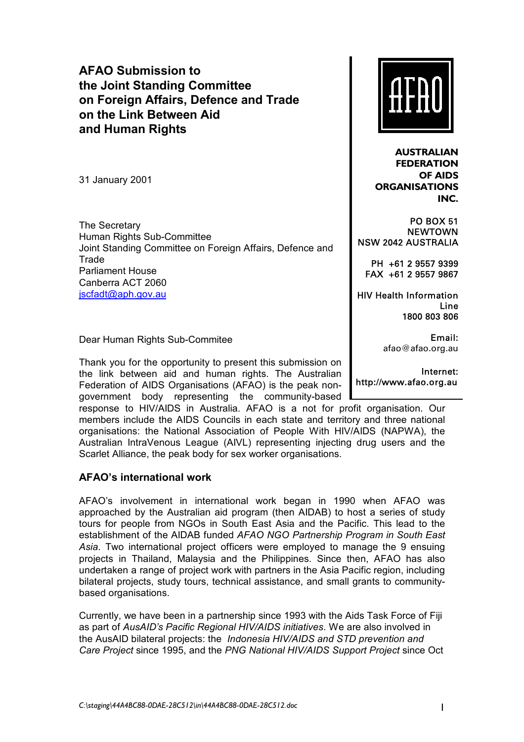# **AFAO Submission to the Joint Standing Committee on Foreign Affairs, Defence and Trade on the Link Between Aid and Human Rights**

31 January 2001

The Secretary Human Rights Sub-Committee Joint Standing Committee on Foreign Affairs, Defence and Trade Parliament House Canberra ACT 2060 jscfadt@aph.gov.au

Dear Human Rights Sub-Commitee

Thank you for the opportunity to present this submission on the link between aid and human rights. The Australian Federation of AIDS Organisations (AFAO) is the peak nongovernment body representing the community-based

response to HIV/AIDS in Australia. AFAO is a not for profit organisation. Our members include the AIDS Councils in each state and territory and three national organisations: the National Association of People With HIV/AIDS (NAPWA), the Australian IntraVenous League (AIVL) representing injecting drug users and the Scarlet Alliance, the peak body for sex worker organisations.

## **AFAOís international work**

AFAOís involvement in international work began in 1990 when AFAO was approached by the Australian aid program (then AIDAB) to host a series of study tours for people from NGOs in South East Asia and the Pacific. This lead to the establishment of the AIDAB funded *AFAO NGO Partnership Program in South East Asia*. Two international project officers were employed to manage the 9 ensuing projects in Thailand, Malaysia and the Philippines. Since then, AFAO has also undertaken a range of project work with partners in the Asia Pacific region, including bilateral projects, study tours, technical assistance, and small grants to communitybased organisations.

Currently, we have been in a partnership since 1993 with the Aids Task Force of Fiji as part of *AusAIDís Pacific Regional HIV/AIDS initiatives*. We are also involved in the AusAID bilateral projects: the *Indonesia HIV/AIDS and STD prevention and Care Project* since 1995, and the *PNG National HIV/AIDS Support Project* since Oct



**AUSTRALIAN FEDERATION OF AIDS ORGANISATIONS INC.**

PO BOX 51 **NEWTOWN** NSW 2042 AUSTRALIA

PH +61 2 9557 9399 FAX +61 2 9557 9867

HIV Health Information Line 1800 803 806

> Email: afao@afao.org.au

Internet: http://www.afao.org.au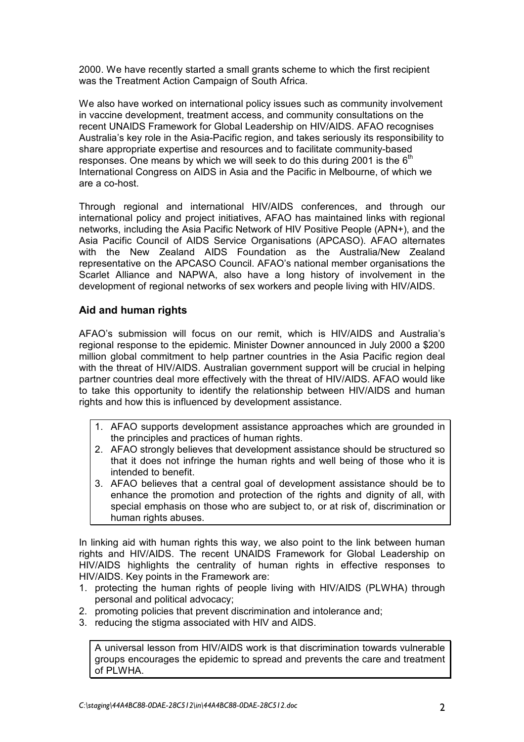2000. We have recently started a small grants scheme to which the first recipient was the Treatment Action Campaign of South Africa.

We also have worked on international policy issues such as community involvement in vaccine development, treatment access, and community consultations on the recent UNAIDS Framework for Global Leadership on HIV/AIDS. AFAO recognises Australiaís key role in the Asia-Pacific region, and takes seriously its responsibility to share appropriate expertise and resources and to facilitate community-based responses. One means by which we will seek to do this during 2001 is the  $6<sup>th</sup>$ International Congress on AIDS in Asia and the Pacific in Melbourne, of which we are a co-host.

Through regional and international HIV/AIDS conferences, and through our international policy and project initiatives, AFAO has maintained links with regional networks, including the Asia Pacific Network of HIV Positive People (APN+), and the Asia Pacific Council of AIDS Service Organisations (APCASO). AFAO alternates with the New Zealand AIDS Foundation as the Australia/New Zealand representative on the APCASO Council. AFAOís national member organisations the Scarlet Alliance and NAPWA, also have a long history of involvement in the development of regional networks of sex workers and people living with HIV/AIDS.

## **Aid and human rights**

AFAOís submission will focus on our remit, which is HIV/AIDS and Australiaís regional response to the epidemic. Minister Downer announced in July 2000 a \$200 million global commitment to help partner countries in the Asia Pacific region deal with the threat of HIV/AIDS. Australian government support will be crucial in helping partner countries deal more effectively with the threat of HIV/AIDS. AFAO would like to take this opportunity to identify the relationship between HIV/AIDS and human rights and how this is influenced by development assistance.

- 1. AFAO supports development assistance approaches which are grounded in the principles and practices of human rights.
- 2. AFAO strongly believes that development assistance should be structured so that it does not infringe the human rights and well being of those who it is intended to benefit.
- 3. AFAO believes that a central goal of development assistance should be to enhance the promotion and protection of the rights and dignity of all, with special emphasis on those who are subject to, or at risk of, discrimination or human rights abuses.

In linking aid with human rights this way, we also point to the link between human rights and HIV/AIDS. The recent UNAIDS Framework for Global Leadership on HIV/AIDS highlights the centrality of human rights in effective responses to HIV/AIDS. Key points in the Framework are:

- 1. protecting the human rights of people living with HIV/AIDS (PLWHA) through personal and political advocacy;
- 2. promoting policies that prevent discrimination and intolerance and;
- 3. reducing the stigma associated with HIV and AIDS.

A universal lesson from HIV/AIDS work is that discrimination towards vulnerable groups encourages the epidemic to spread and prevents the care and treatment of PLWHA.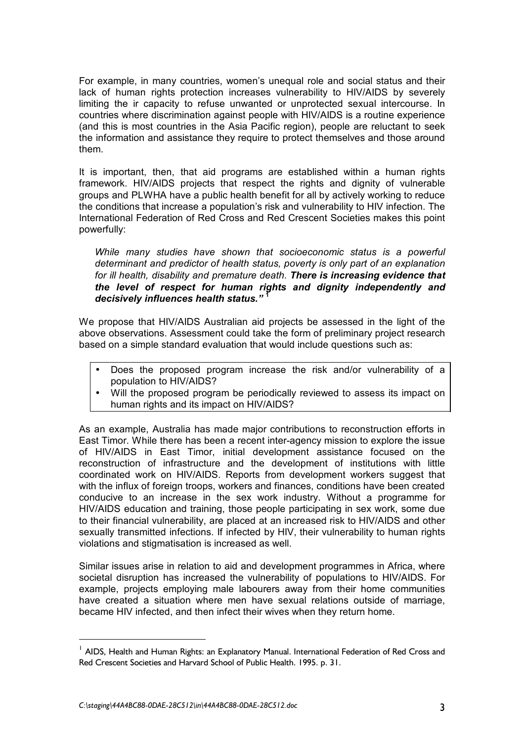For example, in many countries, womenís unequal role and social status and their lack of human rights protection increases vulnerability to HIV/AIDS by severely limiting the ir capacity to refuse unwanted or unprotected sexual intercourse. In countries where discrimination against people with HIV/AIDS is a routine experience (and this is most countries in the Asia Pacific region), people are reluctant to seek the information and assistance they require to protect themselves and those around them.

It is important, then, that aid programs are established within a human rights framework. HIV/AIDS projects that respect the rights and dignity of vulnerable groups and PLWHA have a public health benefit for all by actively working to reduce the conditions that increase a population's risk and vulnerability to HIV infection. The International Federation of Red Cross and Red Crescent Societies makes this point powerfully:

*While many studies have shown that socioeconomic status is a powerful determinant and predictor of health status, poverty is only part of an explanation for ill health, disability and premature death. There is increasing evidence that the level of respect for human rights and dignity independently and*  decisively influences health status.<sup>"<sup>1</sup></sup>

We propose that HIV/AIDS Australian aid projects be assessed in the light of the above observations. Assessment could take the form of preliminary project research based on a simple standard evaluation that would include questions such as:

- Does the proposed program increase the risk and/or vulnerability of a population to HIV/AIDS?
- Will the proposed program be periodically reviewed to assess its impact on human rights and its impact on HIV/AIDS?

As an example, Australia has made major contributions to reconstruction efforts in East Timor. While there has been a recent inter-agency mission to explore the issue of HIV/AIDS in East Timor, initial development assistance focused on the reconstruction of infrastructure and the development of institutions with little coordinated work on HIV/AIDS. Reports from development workers suggest that with the influx of foreign troops, workers and finances, conditions have been created conducive to an increase in the sex work industry. Without a programme for HIV/AIDS education and training, those people participating in sex work, some due to their financial vulnerability, are placed at an increased risk to HIV/AIDS and other sexually transmitted infections. If infected by HIV, their vulnerability to human rights violations and stigmatisation is increased as well.

Similar issues arise in relation to aid and development programmes in Africa, where societal disruption has increased the vulnerability of populations to HIV/AIDS. For example, projects employing male labourers away from their home communities have created a situation where men have sexual relations outside of marriage, became HIV infected, and then infect their wives when they return home.

 $\overline{a}$ 

<sup>&</sup>lt;sup>1</sup> AIDS, Health and Human Rights: an Explanatory Manual. International Federation of Red Cross and Red Crescent Societies and Harvard School of Public Health. 1995. p. 31.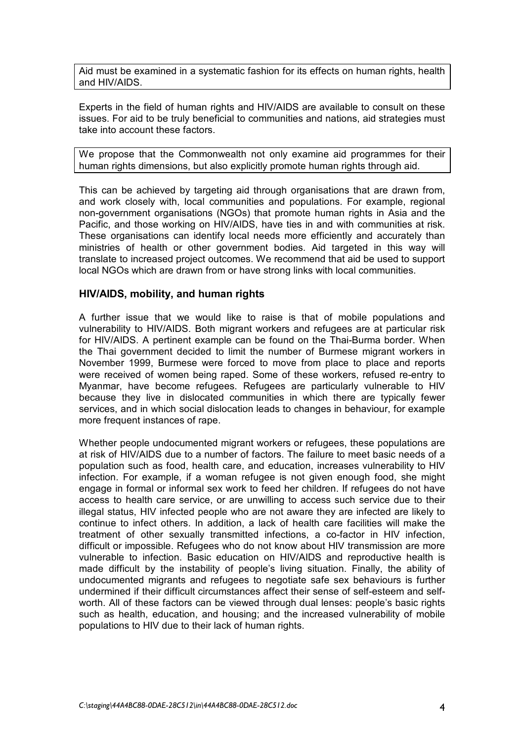Aid must be examined in a systematic fashion for its effects on human rights, health and HIV/AIDS.

Experts in the field of human rights and HIV/AIDS are available to consult on these issues. For aid to be truly beneficial to communities and nations, aid strategies must take into account these factors.

We propose that the Commonwealth not only examine aid programmes for their human rights dimensions, but also explicitly promote human rights through aid.

This can be achieved by targeting aid through organisations that are drawn from, and work closely with, local communities and populations. For example, regional non-government organisations (NGOs) that promote human rights in Asia and the Pacific, and those working on HIV/AIDS, have ties in and with communities at risk. These organisations can identify local needs more efficiently and accurately than ministries of health or other government bodies. Aid targeted in this way will translate to increased project outcomes. We recommend that aid be used to support local NGOs which are drawn from or have strong links with local communities.

#### **HIV/AIDS, mobility, and human rights**

A further issue that we would like to raise is that of mobile populations and vulnerability to HIV/AIDS. Both migrant workers and refugees are at particular risk for HIV/AIDS. A pertinent example can be found on the Thai-Burma border. When the Thai government decided to limit the number of Burmese migrant workers in November 1999, Burmese were forced to move from place to place and reports were received of women being raped. Some of these workers, refused re-entry to Myanmar, have become refugees. Refugees are particularly vulnerable to HIV because they live in dislocated communities in which there are typically fewer services, and in which social dislocation leads to changes in behaviour, for example more frequent instances of rape.

Whether people undocumented migrant workers or refugees, these populations are at risk of HIV/AIDS due to a number of factors. The failure to meet basic needs of a population such as food, health care, and education, increases vulnerability to HIV infection. For example, if a woman refugee is not given enough food, she might engage in formal or informal sex work to feed her children. If refugees do not have access to health care service, or are unwilling to access such service due to their illegal status, HIV infected people who are not aware they are infected are likely to continue to infect others. In addition, a lack of health care facilities will make the treatment of other sexually transmitted infections, a co-factor in HIV infection, difficult or impossible. Refugees who do not know about HIV transmission are more vulnerable to infection. Basic education on HIV/AIDS and reproductive health is made difficult by the instability of people's living situation. Finally, the ability of undocumented migrants and refugees to negotiate safe sex behaviours is further undermined if their difficult circumstances affect their sense of self-esteem and selfworth. All of these factors can be viewed through dual lenses: people's basic rights such as health, education, and housing; and the increased vulnerability of mobile populations to HIV due to their lack of human rights.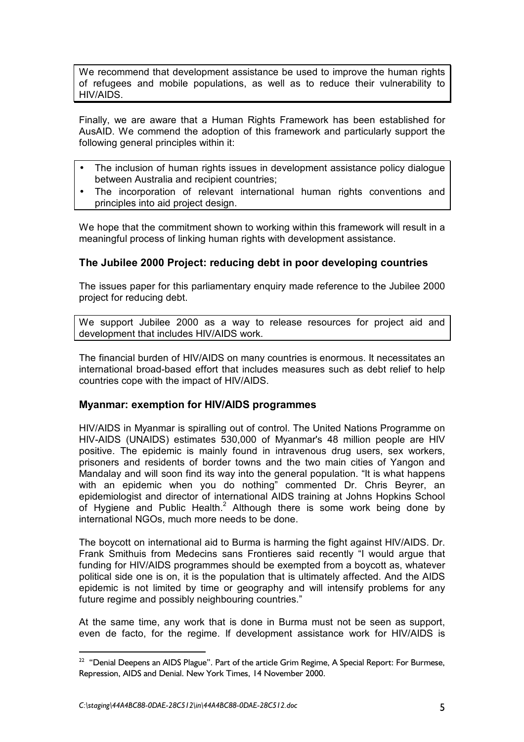We recommend that development assistance be used to improve the human rights of refugees and mobile populations, as well as to reduce their vulnerability to HIV/AIDS.

Finally, we are aware that a Human Rights Framework has been established for AusAID. We commend the adoption of this framework and particularly support the following general principles within it:

- The inclusion of human rights issues in development assistance policy dialogue between Australia and recipient countries;
- The incorporation of relevant international human rights conventions and principles into aid project design.

We hope that the commitment shown to working within this framework will result in a meaningful process of linking human rights with development assistance.

## **The Jubilee 2000 Project: reducing debt in poor developing countries**

The issues paper for this parliamentary enquiry made reference to the Jubilee 2000 project for reducing debt.

We support Jubilee 2000 as a way to release resources for project aid and development that includes HIV/AIDS work.

The financial burden of HIV/AIDS on many countries is enormous. It necessitates an international broad-based effort that includes measures such as debt relief to help countries cope with the impact of HIV/AIDS.

### **Myanmar: exemption for HIV/AIDS programmes**

HIV/AIDS in Myanmar is spiralling out of control. The United Nations Programme on HIV-AIDS (UNAIDS) estimates 530,000 of Myanmar's 48 million people are HIV positive. The epidemic is mainly found in intravenous drug users, sex workers, prisoners and residents of border towns and the two main cities of Yangon and Mandalay and will soon find its way into the general population. "It is what happens with an epidemic when you do nothing" commented Dr. Chris Beyrer, an epidemiologist and director of international AIDS training at Johns Hopkins School of Hygiene and Public Health. $^2$  Although there is some work being done by international NGOs, much more needs to be done.

The boycott on international aid to Burma is harming the fight against HIV/AIDS. Dr. Frank Smithuis from Medecins sans Frontieres said recently "I would argue that funding for HIV/AIDS programmes should be exempted from a boycott as, whatever political side one is on, it is the population that is ultimately affected. And the AIDS epidemic is not limited by time or geography and will intensify problems for any future regime and possibly neighbouring countries."

At the same time, any work that is done in Burma must not be seen as support, even de facto, for the regime. If development assistance work for HIV/AIDS is

 $\overline{a}$ 

<sup>&</sup>lt;sup>22</sup> "Denial Deepens an AIDS Plague". Part of the article Grim Regime, A Special Report: For Burmese, Repression, AIDS and Denial. New York Times, 14 November 2000.